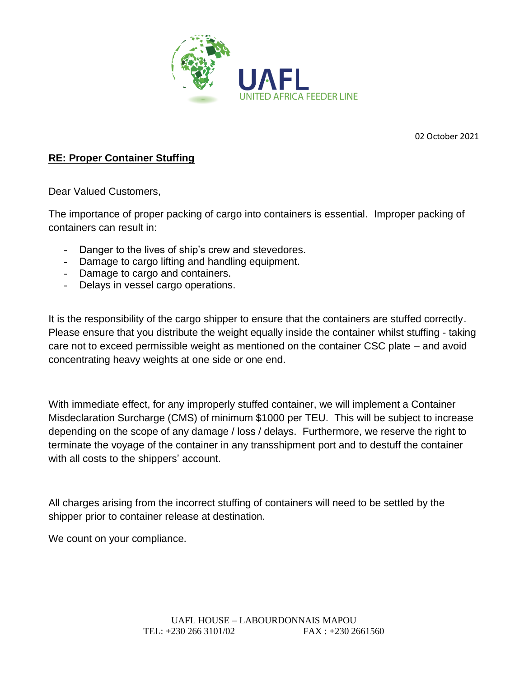

02 October 2021

## **RE: Proper Container Stuffing**

Dear Valued Customers,

The importance of proper packing of cargo into containers is essential. Improper packing of containers can result in:

- Danger to the lives of ship's crew and stevedores.
- Damage to cargo lifting and handling equipment.
- Damage to cargo and containers.
- Delays in vessel cargo operations.

It is the responsibility of the cargo shipper to ensure that the containers are stuffed correctly. Please ensure that you distribute the weight equally inside the container whilst stuffing - taking care not to exceed permissible weight as mentioned on the container CSC plate – and avoid concentrating heavy weights at one side or one end.

With immediate effect, for any improperly stuffed container, we will implement a Container Misdeclaration Surcharge (CMS) of minimum \$1000 per TEU. This will be subject to increase depending on the scope of any damage / loss / delays. Furthermore, we reserve the right to terminate the voyage of the container in any transshipment port and to destuff the container with all costs to the shippers' account.

All charges arising from the incorrect stuffing of containers will need to be settled by the shipper prior to container release at destination.

We count on your compliance.